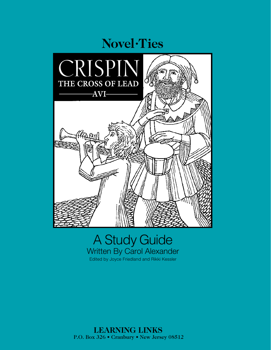

# A Study Guide Written By Carol Alexander Edited by Joyce Friedland and Rikki Kessler

 **LEARNING LINKS** P.O. Box 326 • Cranbury • New Jersey 08512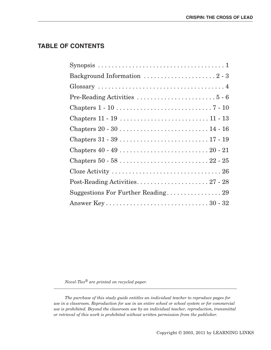## **TABLE OF CONTENTS**

*Novel-Ties® are printed on recycled paper.*

*The purchase of this study guide entitles an individual teacher to reproduce pages for use in a classroom. Reproduction for use in an entire school or school system or for commercial use is prohibited. Beyond the classroom use by an individual teacher, reproduction, transmittal or retrieval of this work is prohibited without written permission from the publisher.*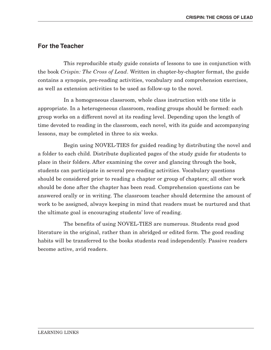## **For the Teacher**

This reproducible study guide consists of lessons to use in conjunction with the book *Crispin: The Cross of Lead*. Written in chapter-by-chapter format, the guide contains a synopsis, pre-reading activities, vocabulary and comprehension exercises, as well as extension activities to be used as follow-up to the novel.

In a homogeneous classroom, whole class instruction with one title is appropriate. In a heterogeneous classroom, reading groups should be formed: each group works on a different novel at its reading level. Depending upon the length of time devoted to reading in the classroom, each novel, with its guide and accompanying lessons, may be completed in three to six weeks.

Begin using NOVEL-TIES for guided reading by distributing the novel and a folder to each child. Distribute duplicated pages of the study guide for students to place in their folders. After examining the cover and glancing through the book, students can participate in several pre-reading activities. Vocabulary questions should be considered prior to reading a chapter or group of chapters; all other work should be done after the chapter has been read. Comprehension questions can be answered orally or in writing. The classroom teacher should determine the amount of work to be assigned, always keeping in mind that readers must be nurtured and that the ultimate goal is encouraging students' love of reading.

The benefits of using NOVEL-TIES are numerous. Students read good literature in the original, rather than in abridged or edited form. The good reading habits will be transferred to the books students read independently. Passive readers become active, avid readers.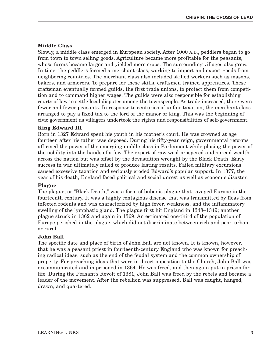## **Middle Class**

Slowly, a middle class emerged in European society. After 1000 A.D., peddlers began to go from town to town selling goods. Agriculture became more profitable for the peasants, whose farms became larger and yielded more crops. The surrounding villages also grew. In time, the peddlers formed a merchant class, working to import and export goods from neighboring countries. The merchant class also included skilled workers such as masons, bakers, and armorers. To prepare for these skills, craftsmen trained apprentices. These craftsman eventually formed guilds, the first trade unions, to protect them from competition and to command higher wages. The guilds were also responsible for establishing courts of law to settle local disputes among the townspeople. As trade increased, there were fewer and fewer peasants. In response to centuries of unfair taxation, the merchant class arranged to pay a fixed tax to the lord of the manor or king. This was the beginning of civic government as villagers undertook the rights and responsibilities of self-government.

### **King Edward III**

Born in 1327 Edward spent his youth in his mother's court. He was crowned at age fourteen after his father was deposed. During his fifty-year reign, governmental reforms affirmed the power of the emerging middle class in Parliament while placing the power of the nobility into the hands of a few. The export of raw wool prospered and spread wealth across the nation but was offset by the devastation wrought by the Black Death. Early success in war ultimately failed to produce lasting results. Failed military excursions caused excessive taxation and seriously eroded Edward's popular support. In 1377, the year of his death, England faced political and social unrest as well as economic disaster.

#### **Plague**

The plague, or "Black Death," was a form of bubonic plague that ravaged Europe in the fourteenth century. It was a highly contagious disease that was transmitted by fleas from infected rodents and was characterized by high fever, weakness, and the inflammatory swelling of the lymphatic gland. The plague first hit England in 1348–1349; another plague struck in 1362 and again in 1369. An estimated one-third of the population of Europe perished in the plague, which did not discriminate between rich and poor, urban or rural.

#### **John Ball**

The specific date and place of birth of John Ball are not known. It is known, however, that he was a peasant priest in fourteenth-century England who was known for preaching radical ideas, such as the end of the feudal system and the common ownership of property. For preaching ideas that were in direct opposition to the Church, John Ball was excommunicated and imprisoned in 1364. He was freed, and then again put in prison for life. During the Peasant's Revolt of 1381, John Ball was freed by the rebels and became a leader of the movement. After the rebellion was suppressed, Ball was caught, hanged, drawn, and quartered.